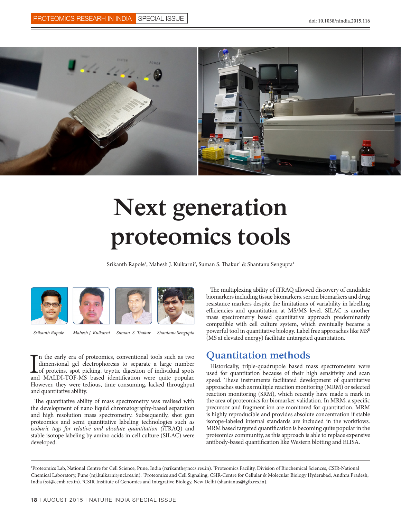

# **Next generation proteomics tools**

Srikanth Rapole<sup>1</sup>, Mahesh J. Kulkarni<sup>2</sup>, Suman S. Thakur<sup>3</sup> & Shantanu Sengupta<sup>4</sup>



*Srikanth Rapole*

*Mahesh J. Kulkarni Suman S. Thakur Shantanu Sengupta*

In the early era of proteomics, conventional tools such as two dimensional gel electrophoresis to separate a large number of proteins, spot picking, tryptic digestion of individual spots and MALDI-TOF-MS based identificati n the early era of proteomics, conventional tools such as two dimensional gel electrophoresis to separate a large number of proteins, spot picking, tryptic digestion of individual spots However, they were tedious, time consuming, lacked throughput and quantitative ability.

The quantitative ability of mass spectrometry was realised with the development of nano liquid chromatography-based separation and high resolution mass spectrometry. Subsequently, shot gun proteomics and semi quantitative labeling technologies such *as isobaric tags for relative and absolute quantitation (*iTRAQ) and stable isotope labeling by amino acids in cell culture (SILAC) were developed.

The multiplexing ability of iTRAQ allowed discovery of candidate biomarkers including tissue biomarkers, serum biomarkers and drug resistance markers despite the limitations of variability in labelling efficiencies and quantitation at MS/MS level. SILAC is another mass spectrometry based quantitative approach predominantly compatible with cell culture system, which eventually became a powerful tool in quantitative biology. Label free approaches like MSE (MS at elevated energy) facilitate untargeted quantitation.

#### **Quantitation methods**

Historically, triple-quadrupole based mass spectrometers were used for quantitation because of their high sensitivity and scan speed. These instruments facilitated development of quantitative approaches such as multiple reaction monitoring (MRM) or selected reaction monitoring (SRM), which recently have made a mark in the area of proteomics for biomarker validation. In MRM, a specific precursor and fragment ion are monitored for quantitation. MRM is highly reproducible and provides absolute concentration if stable isotope-labeled internal standards are included in the workflows. MRM based targeted quantification is becoming quite popular in the proteomics community, as this approach is able to replace expensive antibody-based quantification like Western blotting and ELISA.

1 Proteomics Lab, National Centre for Cell Science, Pune, India (rsrikanth@nccs.res.in). 2 Proteomics Facility, Division of Biochemical Sciences, CSIR-National Chemical Laboratory, Pune (mj.kulkarni@ncl.res.in). 3 Proteomics and Cell Signaling, CSIR-Centre for Cellular & Molecular Biology Hyderabad, Andhra Pradesh, India (sst@ccmb.res.in). 4 CSIR-Institute of Genomics and Integrative Biology, New Delhi (shantanus@igib.res.in).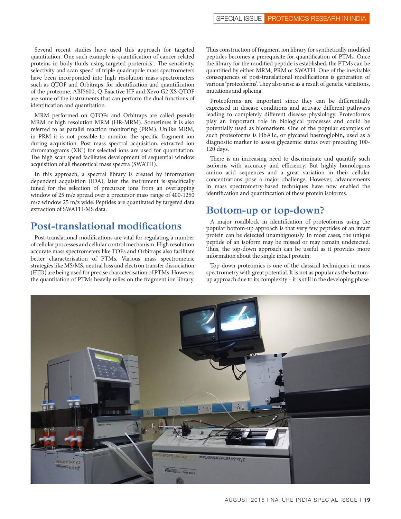Several recent studies have used this approach for targeted quantitation. One such example is quantification of cancer related proteins in body fluids using targeted protemics<sup>1</sup>. The sensitivity, selectivity and scan speed of triple quadrupole mass spectrometers have been incorporated into high resolution mass spectrometers such as QTOF and Orbitraps, for identification and quantification of the proteome. ABI5600, Q-Exactive HF and Xevo G2 XS QTOF are some of the instruments that can perform the dual functions of identification and quantitation.

MRM performed on QTOFs and Orbitraps are called pseudo MRM or high resolution MRM (HR-MRM). Sometimes it is also referred to as parallel reaction monitoring (PRM). Unlike MRM, in PRM it is not possible to monitor the specific fragment ion during acquisition. Post mass spectral acquisition, extracted ion chromatograms (XIC) for selected ions are used for quantitation. The high scan speed facilitates development of sequential window acquisition of all theoretical mass spectra (SWATH).

In this approach, a spectral library is created by information dependent acquisition (IDA), later the instrument is specifically tuned for the selection of precursor ions from an overlapping window of 25 m/z spread over a precursor mass range of 400-1250 m/z window 25 m/z wide. Peptides are quantitated by targeted data extraction of SWATH-MS data.

#### **Post-translational modifications**

Post-translational modifications are vital for regulating a number of cellular processes and cellular control mechanism. High resolution accurate mass spectrometers like TOFs and Orbitraps also facilitate better characterisation of PTMs. Various mass spectrometric strategies like MS/MS, neutral loss and electron transfer dissociation (ETD) are being used for precise characterisation of PTMs. However, the quantitation of PTMs heavily relies on the fragment ion library. Thus construction of fragment ion library for synthetically modified peptides becomes a prerequisite for quantification of PTMs. Once the library for the modified peptide is established, the PTMs can be quantified by either MRM, PRM or SWATH. One of the inevitable consequences of post-translational modifications is generation of various 'proteoforms'. They also arise as a result of genetic variations, mutations and splicing.

Proteoforms are important since they can be differentially expressed in disease conditions and activate different pathways leading to completely different disease physiology. Proteoforms play an important role in biological processes and could be potentially used as biomarkers. One of the popular examples of such proteoforms is HbA1c, or glycated haemoglobin, used as a diagnostic marker to assess glycaemic status over preceding 100- 120 days.

There is an increasing need to discriminate and quantify such isoforms with accuracy and efficiency. But highly homologous amino acid sequences and a great variation in their cellular concentrations pose a major challenge. However, advancements in mass spectrometry-based techniques have now enabled the identification and quantification of these protein isoforms.

#### **Bottom-up or top-down?**

A major roadblock in identification of proteoforms using the popular bottom-up approach is that very few peptides of an intact protein can be detected unambiguously. In most cases, the unique peptide of an isoform may be missed or may remain undetected. Thus, the top-down approach can be useful as it provides more information about the single intact protein.

Top-down proteomics is one of the classical techniques in mass spectrometry with great potential. It is not as popular as the bottomup approach due to its complexity – it is still in the developing phase.